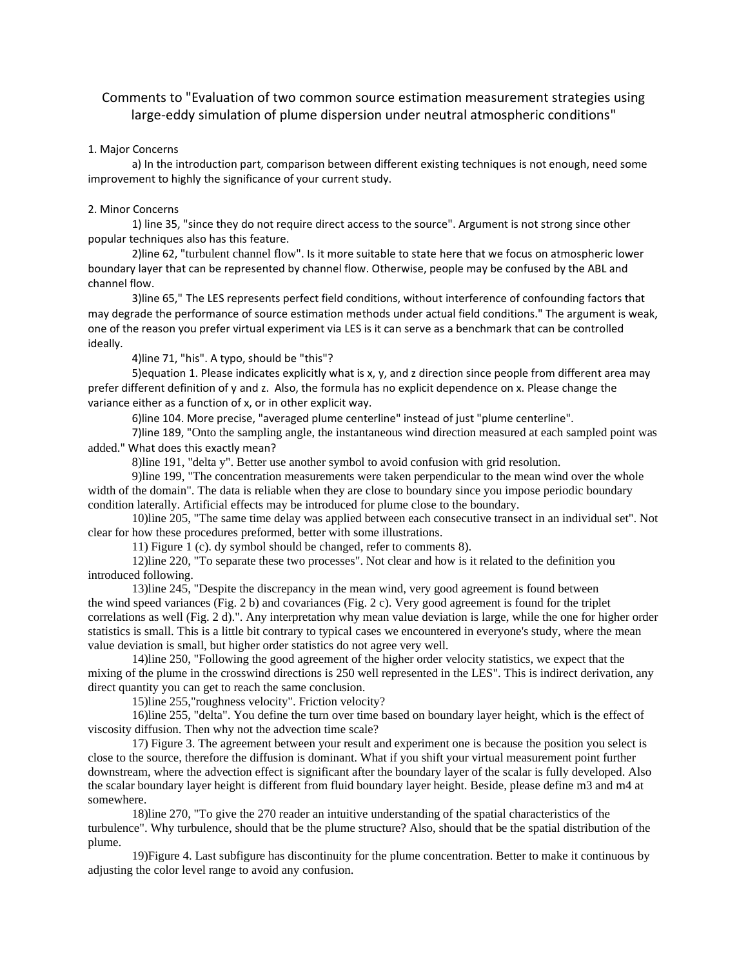## Comments to "Evaluation of two common source estimation measurement strategies using large-eddy simulation of plume dispersion under neutral atmospheric conditions"

## 1. Major Concerns

a) In the introduction part, comparison between different existing techniques is not enough, need some improvement to highly the significance of your current study.

## 2. Minor Concerns

1) line 35, "since they do not require direct access to the source". Argument is not strong since other popular techniques also has this feature.

2)line 62, "turbulent channel flow". Is it more suitable to state here that we focus on atmospheric lower boundary layer that can be represented by channel flow. Otherwise, people may be confused by the ABL and channel flow.

3)line 65," The LES represents perfect field conditions, without interference of confounding factors that may degrade the performance of source estimation methods under actual field conditions." The argument is weak, one of the reason you prefer virtual experiment via LES is it can serve as a benchmark that can be controlled ideally.

4)line 71, "his". A typo, should be "this"?

5)equation 1. Please indicates explicitly what is x, y, and z direction since people from different area may prefer different definition of y and z. Also, the formula has no explicit dependence on x. Please change the variance either as a function of x, or in other explicit way.

6)line 104. More precise, "averaged plume centerline" instead of just "plume centerline".

7)line 189, "Onto the sampling angle, the instantaneous wind direction measured at each sampled point was added." What does this exactly mean?

8)line 191, "delta y". Better use another symbol to avoid confusion with grid resolution.

9)line 199, "The concentration measurements were taken perpendicular to the mean wind over the whole width of the domain". The data is reliable when they are close to boundary since you impose periodic boundary condition laterally. Artificial effects may be introduced for plume close to the boundary.

10)line 205, "The same time delay was applied between each consecutive transect in an individual set". Not clear for how these procedures preformed, better with some illustrations.

11) Figure 1 (c). dy symbol should be changed, refer to comments 8).

12)line 220, "To separate these two processes". Not clear and how is it related to the definition you introduced following.

13)line 245, "Despite the discrepancy in the mean wind, very good agreement is found between the wind speed variances (Fig. 2 b) and covariances (Fig. 2 c). Very good agreement is found for the triplet correlations as well (Fig. 2 d).". Any interpretation why mean value deviation is large, while the one for higher order statistics is small. This is a little bit contrary to typical cases we encountered in everyone's study, where the mean value deviation is small, but higher order statistics do not agree very well.

14)line 250, "Following the good agreement of the higher order velocity statistics, we expect that the mixing of the plume in the crosswind directions is 250 well represented in the LES". This is indirect derivation, any direct quantity you can get to reach the same conclusion.

15)line 255,"roughness velocity". Friction velocity?

16)line 255, "delta". You define the turn over time based on boundary layer height, which is the effect of viscosity diffusion. Then why not the advection time scale?

17) Figure 3. The agreement between your result and experiment one is because the position you select is close to the source, therefore the diffusion is dominant. What if you shift your virtual measurement point further downstream, where the advection effect is significant after the boundary layer of the scalar is fully developed. Also the scalar boundary layer height is different from fluid boundary layer height. Beside, please define m3 and m4 at somewhere.

18)line 270, "To give the 270 reader an intuitive understanding of the spatial characteristics of the turbulence". Why turbulence, should that be the plume structure? Also, should that be the spatial distribution of the plume.

19)Figure 4. Last subfigure has discontinuity for the plume concentration. Better to make it continuous by adjusting the color level range to avoid any confusion.